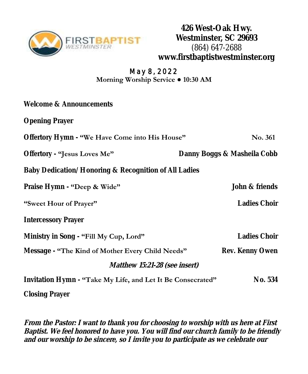

**426 West-Oak Hwy. Westminster, SC 29693** (864) 647-2688 **www.firstbaptistwestminster.org**

## **May 8, 2022 Morning Worship Service ● 10:30 AM**

| Welcome & Announcements                                     |                             |  |
|-------------------------------------------------------------|-----------------------------|--|
| <b>Opening Prayer</b>                                       |                             |  |
| Offertory Hymn - "We Have Come into His House"              | <b>No. 361</b>              |  |
| Offertory - "Jesus Loves Me"                                | Danny Boggs & Masheila Cobb |  |
| Baby Dedication/Honoring & Recognition of All Ladies        |                             |  |
| Praise Hymn - "Deep & Wide"                                 | John & friends              |  |
| "Sweet Hour of Prayer"                                      | Ladies Choir                |  |
| <b>Intercessory Prayer</b>                                  |                             |  |
| Ministry in Song - "Fill My Cup, Lord"                      | Ladies Choir                |  |
| Message - "The Kind of Mother Every Child Needs"            | Rev. Kenny Owen             |  |
| Matthew 15:21-28 (see insert)                               |                             |  |
| Invitation Hymn - "Take My Life, and Let It Be Consecrated" | No. 534                     |  |

**Closing Prayer**

**From the Pastor: I want to thank you for choosing to worship with us here at First Baptist. We feel honored to have you. You will find our church family to be friendly and our worship to be sincere, so I invite you to participate as we celebrate our**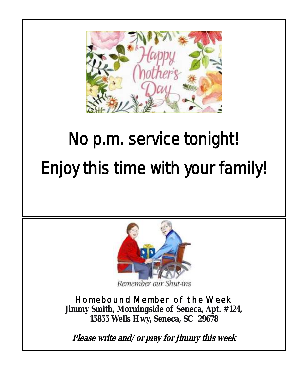

## No p.m. service tonight! Enjoy this time with your family!



Remember our Shut-ins

**Homebound Member of the Week Jimmy Smith, Morningside of Seneca, Apt. #124, 15855 Wells Hwy, Seneca, SC 29678**

**Please write and/or pray for Jimmy this week**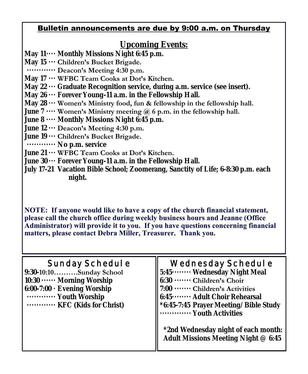## Bulletin announcements are due by 9:00 a.m. on Thursday

## **Upcoming Events:**

- **May 11···· Monthly Missions Night 6:45 p.m.**
- **May 15 ··· Children's Bucket Brigade.**
- **············ Deacon's Meeting 4:30 p.m.**
- **May 17 ··· WFBC Team Cooks at Dot's Kitchen.**
- **May 22 ··· Graduate Recognition service, during a.m. service (see insert).**
- **May 26 ··· Forever Young-11 a.m. in the Fellowship Hall.**
- **May 28 ··· Women's Ministry food, fun & fellowship in the fellowship hall.**
- **June 7 ···· Women's Ministry meeting @ 6 p.m. in the fellowship hall.**
- **June 8 ···· Monthly Missions Night 6:45 p.m.**
- **June 12 ··· Deacon's Meeting 4:30 p.m.**
- **June 19 ··· Children's Bucket Brigade.**
- **············ No p.m. service**
- **June 21 ··· WFBC Team Cooks at Dot's Kitchen.**
- **June 30 ··· Forever Young-11 a.m. in the Fellowship Hall.**
- **July 17-21 Vacation Bible School; Zoomerang, Sanctity of Life; 6-8:30 p.m. each night.**

**NOTE: If anyone would like to have a copy of the church financial statement, please call the church office during weekly business hours and Jeanne (Office Administrator) will provide it to you. If you have questions concerning financial matters, please contact Debra Miller, Treasurer. Thank you.** 

| Sunday Schedul e<br>9:30-10:10Sunday School<br>$10:30 \cdots$ Morning Worship<br>6:00-7:00 · Evening Worship<br>Youth Worship<br>KFC (Kids for Christ) | Wednesday Schedul e<br>5:45 ········ Wednesday Night Meal<br>6:30 ········ Children's Choir<br>7:00 ········ Children's Activities<br>6:45…… Adult Choir Rehearsal<br>*6:45-7:45 Prayer Meeting/Bible Study<br>Youth Activities |
|--------------------------------------------------------------------------------------------------------------------------------------------------------|---------------------------------------------------------------------------------------------------------------------------------------------------------------------------------------------------------------------------------|
|                                                                                                                                                        | *2nd Wednesday night of each month:<br>Adult Missions Meeting Night @ 6:45                                                                                                                                                      |